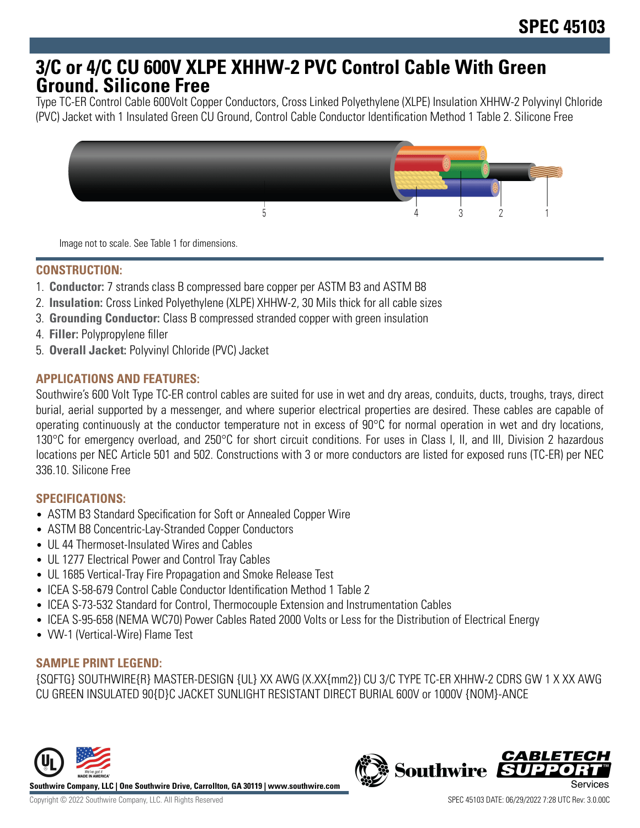# **3/C or 4/C CU 600V XLPE XHHW-2 PVC Control Cable With Green Ground. Silicone Free**

Type TC-ER Control Cable 600Volt Copper Conductors, Cross Linked Polyethylene (XLPE) Insulation XHHW-2 Polyvinyl Chloride (PVC) Jacket with 1 Insulated Green CU Ground, Control Cable Conductor Identification Method 1 Table 2. Silicone Free



Image not to scale. See Table 1 for dimensions.

#### **CONSTRUCTION:**

- 1. **Conductor:** 7 strands class B compressed bare copper per ASTM B3 and ASTM B8
- 2. **Insulation:** Cross Linked Polyethylene (XLPE) XHHW-2, 30 Mils thick for all cable sizes
- 3. **Grounding Conductor:** Class B compressed stranded copper with green insulation
- 4. **Filler:** Polypropylene filler
- 5. **Overall Jacket:** Polyvinyl Chloride (PVC) Jacket

### **APPLICATIONS AND FEATURES:**

Southwire's 600 Volt Type TC-ER control cables are suited for use in wet and dry areas, conduits, ducts, troughs, trays, direct burial, aerial supported by a messenger, and where superior electrical properties are desired. These cables are capable of operating continuously at the conductor temperature not in excess of 90°C for normal operation in wet and dry locations, 130°C for emergency overload, and 250°C for short circuit conditions. For uses in Class I, II, and III, Division 2 hazardous locations per NEC Article 501 and 502. Constructions with 3 or more conductors are listed for exposed runs (TC-ER) per NEC 336.10. Silicone Free

#### **SPECIFICATIONS:**

- ASTM B3 Standard Specification for Soft or Annealed Copper Wire
- ASTM B8 Concentric-Lay-Stranded Copper Conductors
- UL 44 Thermoset-Insulated Wires and Cables
- UL 1277 Electrical Power and Control Tray Cables
- UL 1685 Vertical-Tray Fire Propagation and Smoke Release Test
- ICEA S-58-679 Control Cable Conductor Identification Method 1 Table 2
- ICEA S-73-532 Standard for Control, Thermocouple Extension and Instrumentation Cables
- ICEA S-95-658 (NEMA WC70) Power Cables Rated 2000 Volts or Less for the Distribution of Electrical Energy
- VW-1 (Vertical-Wire) Flame Test

#### **SAMPLE PRINT LEGEND:**

{SQFTG} SOUTHWIRE{R} MASTER-DESIGN {UL} XX AWG (X.XX{mm2}) CU 3/C TYPE TC-ER XHHW-2 CDRS GW 1 X XX AWG CU GREEN INSULATED 90{D}C JACKET SUNLIGHT RESISTANT DIRECT BURIAL 600V or 1000V {NOM}-ANCE



**Southwire Company, LLC | One Southwire Drive, Carrollton, GA 30119 | www.southwire.com**